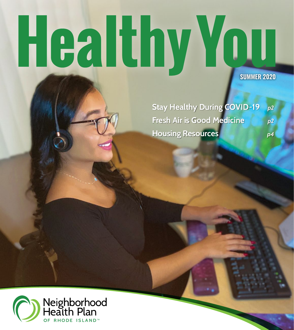# Healthy You

**SUMMER 2020**

**Stay Healthy During COVID-19** *p2*  **Fresh Air is Good Medicine** *p2*  **Housing Resources** *p4* 

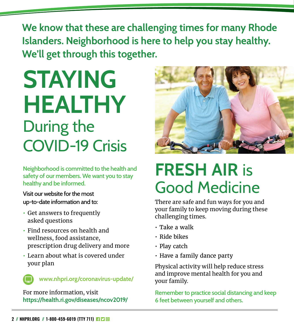**We know that these are challenging times for many Rhode Islanders. Neighborhood is here to help you stay healthy. We'll get through this together.**

## **STAYING HEALTHY**  During the COVID-19 Crisis

**Neighborhood is committed to the health and safety of our members. We want you to stay healthy and be informed.** 

Visit our website for the most up-to-date information and to:

- **•** Get answers to frequently asked questions
- **•** Find resources on health and wellness, food assistance, prescription drug delivery and more
- **•** Learn about what is covered under your plan

**www.nhpri.org/coronavirus-update/**

For more information, visit **<https://health.ri.gov/diseases/ncov2019/>**



### **FRESH AIR** is Good Medicine

There are safe and fun ways for you and your family to keep moving during these challenging times.

- Take a walk
- Ride bikes
- Play catch
- Have a family dance party

Physical activity will help reduce stress and improve mental health for you and your family.

**Remember to practice social distancing and keep 6 feet between yourself and others.**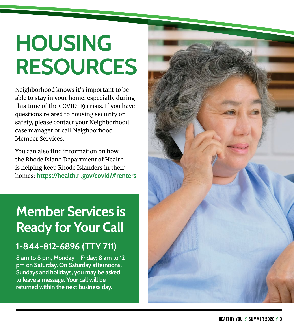## **HOUSING RESOURCES**

Neighborhood knows it's important to be able to stay in your home, especially during this time of the COVID-19 crisis. If you have questions related to housing security or safety, please contact your Neighborhood case manager or call Neighborhood Member Services.

You can also find information on how the Rhode Island Department of Health is helping keep Rhode Islanders in their homes: **<https://health.ri.gov/covid/#renters>**

#### **Member Services is Ready for Your Call**

#### **1-844-812-6896 (TTY 711)**

**8 am to 8 pm, Monday – Friday; 8 am to 12 pm on Saturday. On Saturday afternoons, Sundays and holidays, you may be asked to leave a message. Your call will be returned within the next business day.**